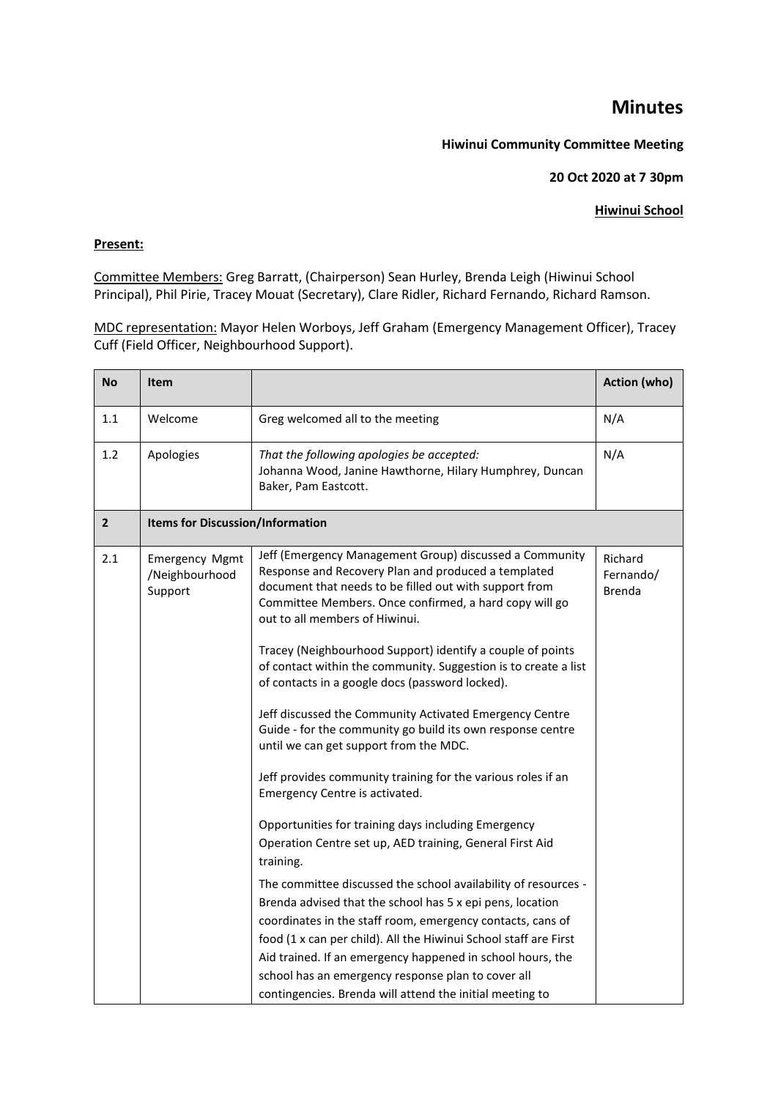# **Minutes**

## **Hiwinui Community Committee Meeting**

### **20 Oct 2020 at 7 30pm**

## **Hiwinui School**

### **Present:**

Committee Members: Greg Barratt, (Chairperson) Sean Hurley, Brenda Leigh (Hiwinui School Principal), Phil Pirie, Tracey Mouat (Secretary), Clare Ridler, Richard Fernando, Richard Ramson.

MDC representation: Mayor Helen Worboys, Jeff Graham (Emergency Management Officer), Tracey Cuff (Field Officer, Neighbourhood Support).

| <b>No</b>      | <b>Item</b>                                        |                                                                                                                                                                                                                                                                                                                                                                                                                                                                                                                                                                                                                                                                                                                                                                                                                                                                                                                                 | Action (who)                          |  |
|----------------|----------------------------------------------------|---------------------------------------------------------------------------------------------------------------------------------------------------------------------------------------------------------------------------------------------------------------------------------------------------------------------------------------------------------------------------------------------------------------------------------------------------------------------------------------------------------------------------------------------------------------------------------------------------------------------------------------------------------------------------------------------------------------------------------------------------------------------------------------------------------------------------------------------------------------------------------------------------------------------------------|---------------------------------------|--|
| 1.1            | Welcome                                            | Greg welcomed all to the meeting                                                                                                                                                                                                                                                                                                                                                                                                                                                                                                                                                                                                                                                                                                                                                                                                                                                                                                | N/A                                   |  |
| 1.2            | Apologies                                          | That the following apologies be accepted:<br>Johanna Wood, Janine Hawthorne, Hilary Humphrey, Duncan<br>Baker, Pam Eastcott.                                                                                                                                                                                                                                                                                                                                                                                                                                                                                                                                                                                                                                                                                                                                                                                                    | N/A                                   |  |
| $\overline{2}$ |                                                    | <b>Items for Discussion/Information</b>                                                                                                                                                                                                                                                                                                                                                                                                                                                                                                                                                                                                                                                                                                                                                                                                                                                                                         |                                       |  |
| 2.1            | <b>Emergency Mgmt</b><br>/Neighbourhood<br>Support | Jeff (Emergency Management Group) discussed a Community<br>Response and Recovery Plan and produced a templated<br>document that needs to be filled out with support from<br>Committee Members. Once confirmed, a hard copy will go<br>out to all members of Hiwinui.<br>Tracey (Neighbourhood Support) identify a couple of points<br>of contact within the community. Suggestion is to create a list<br>of contacts in a google docs (password locked).<br>Jeff discussed the Community Activated Emergency Centre<br>Guide - for the community go build its own response centre<br>until we can get support from the MDC.<br>Jeff provides community training for the various roles if an<br>Emergency Centre is activated.<br>Opportunities for training days including Emergency<br>Operation Centre set up, AED training, General First Aid<br>training.<br>The committee discussed the school availability of resources - | Richard<br>Fernando/<br><b>Brenda</b> |  |
|                |                                                    | Brenda advised that the school has 5 x epi pens, location<br>coordinates in the staff room, emergency contacts, cans of                                                                                                                                                                                                                                                                                                                                                                                                                                                                                                                                                                                                                                                                                                                                                                                                         |                                       |  |
|                |                                                    | food (1 x can per child). All the Hiwinui School staff are First<br>Aid trained. If an emergency happened in school hours, the<br>school has an emergency response plan to cover all<br>contingencies. Brenda will attend the initial meeting to                                                                                                                                                                                                                                                                                                                                                                                                                                                                                                                                                                                                                                                                                |                                       |  |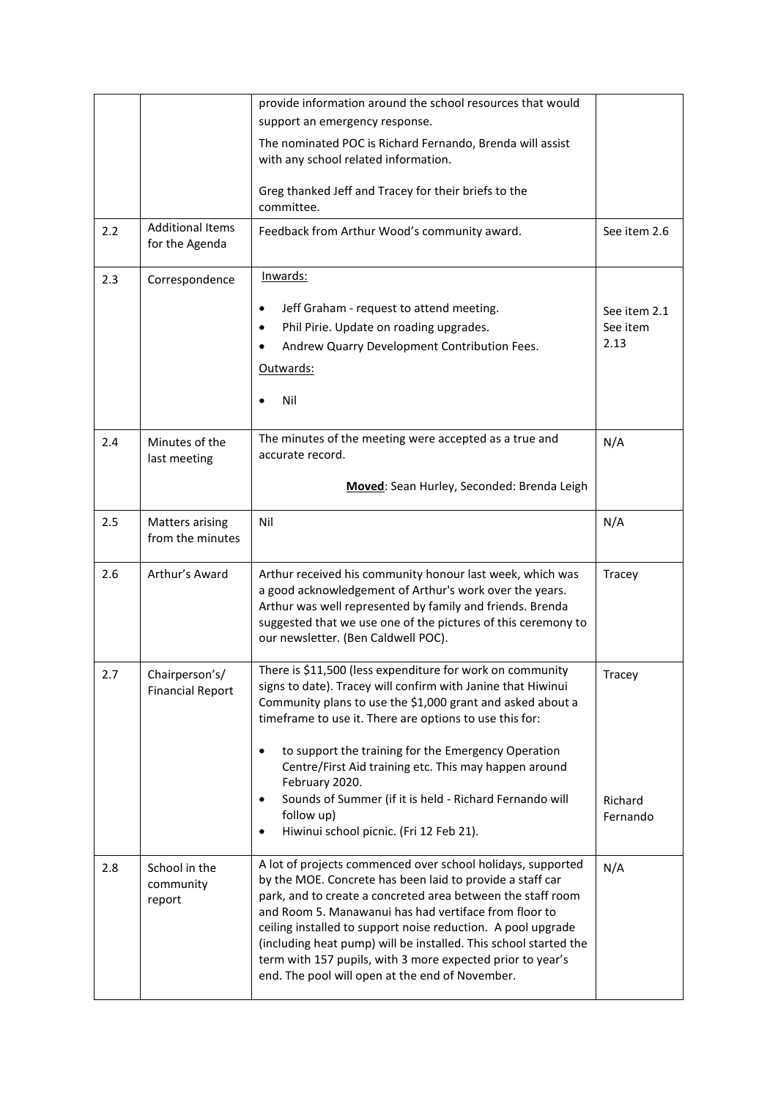|     |                                            | provide information around the school resources that would                                                                                                                                                                                                                                                                                                                                                                                                                                            |                     |
|-----|--------------------------------------------|-------------------------------------------------------------------------------------------------------------------------------------------------------------------------------------------------------------------------------------------------------------------------------------------------------------------------------------------------------------------------------------------------------------------------------------------------------------------------------------------------------|---------------------|
|     |                                            | support an emergency response.                                                                                                                                                                                                                                                                                                                                                                                                                                                                        |                     |
|     |                                            | The nominated POC is Richard Fernando, Brenda will assist<br>with any school related information.                                                                                                                                                                                                                                                                                                                                                                                                     |                     |
|     |                                            | Greg thanked Jeff and Tracey for their briefs to the<br>committee.                                                                                                                                                                                                                                                                                                                                                                                                                                    |                     |
| 2.2 | <b>Additional Items</b><br>for the Agenda  | Feedback from Arthur Wood's community award.                                                                                                                                                                                                                                                                                                                                                                                                                                                          | See item 2.6        |
| 2.3 | Correspondence                             | Inwards:                                                                                                                                                                                                                                                                                                                                                                                                                                                                                              |                     |
|     |                                            | Jeff Graham - request to attend meeting.<br>٠                                                                                                                                                                                                                                                                                                                                                                                                                                                         | See item 2.1        |
|     |                                            | Phil Pirie. Update on roading upgrades.                                                                                                                                                                                                                                                                                                                                                                                                                                                               | See item            |
|     |                                            | Andrew Quarry Development Contribution Fees.                                                                                                                                                                                                                                                                                                                                                                                                                                                          | 2.13                |
|     |                                            | Outwards:                                                                                                                                                                                                                                                                                                                                                                                                                                                                                             |                     |
|     |                                            | Nil                                                                                                                                                                                                                                                                                                                                                                                                                                                                                                   |                     |
| 2.4 | Minutes of the<br>last meeting             | The minutes of the meeting were accepted as a true and<br>accurate record.                                                                                                                                                                                                                                                                                                                                                                                                                            | N/A                 |
|     |                                            | Moved: Sean Hurley, Seconded: Brenda Leigh                                                                                                                                                                                                                                                                                                                                                                                                                                                            |                     |
| 2.5 | <b>Matters arising</b><br>from the minutes | Nil                                                                                                                                                                                                                                                                                                                                                                                                                                                                                                   | N/A                 |
| 2.6 | Arthur's Award                             | Arthur received his community honour last week, which was<br>a good acknowledgement of Arthur's work over the years.<br>Arthur was well represented by family and friends. Brenda<br>suggested that we use one of the pictures of this ceremony to<br>our newsletter. (Ben Caldwell POC).                                                                                                                                                                                                             | Tracey              |
| 2.7 | Chairperson's/<br><b>Financial Report</b>  | There is \$11,500 (less expenditure for work on community<br>signs to date). Tracey will confirm with Janine that Hiwinui<br>Community plans to use the \$1,000 grant and asked about a<br>timeframe to use it. There are options to use this for:<br>to support the training for the Emergency Operation<br>٠<br>Centre/First Aid training etc. This may happen around<br>February 2020.                                                                                                             | Tracey              |
|     |                                            | Sounds of Summer (if it is held - Richard Fernando will<br>٠<br>follow up)<br>Hiwinui school picnic. (Fri 12 Feb 21).<br>٠                                                                                                                                                                                                                                                                                                                                                                            | Richard<br>Fernando |
| 2.8 | School in the<br>community<br>report       | A lot of projects commenced over school holidays, supported<br>by the MOE. Concrete has been laid to provide a staff car<br>park, and to create a concreted area between the staff room<br>and Room 5. Manawanui has had vertiface from floor to<br>ceiling installed to support noise reduction. A pool upgrade<br>(including heat pump) will be installed. This school started the<br>term with 157 pupils, with 3 more expected prior to year's<br>end. The pool will open at the end of November. | N/A                 |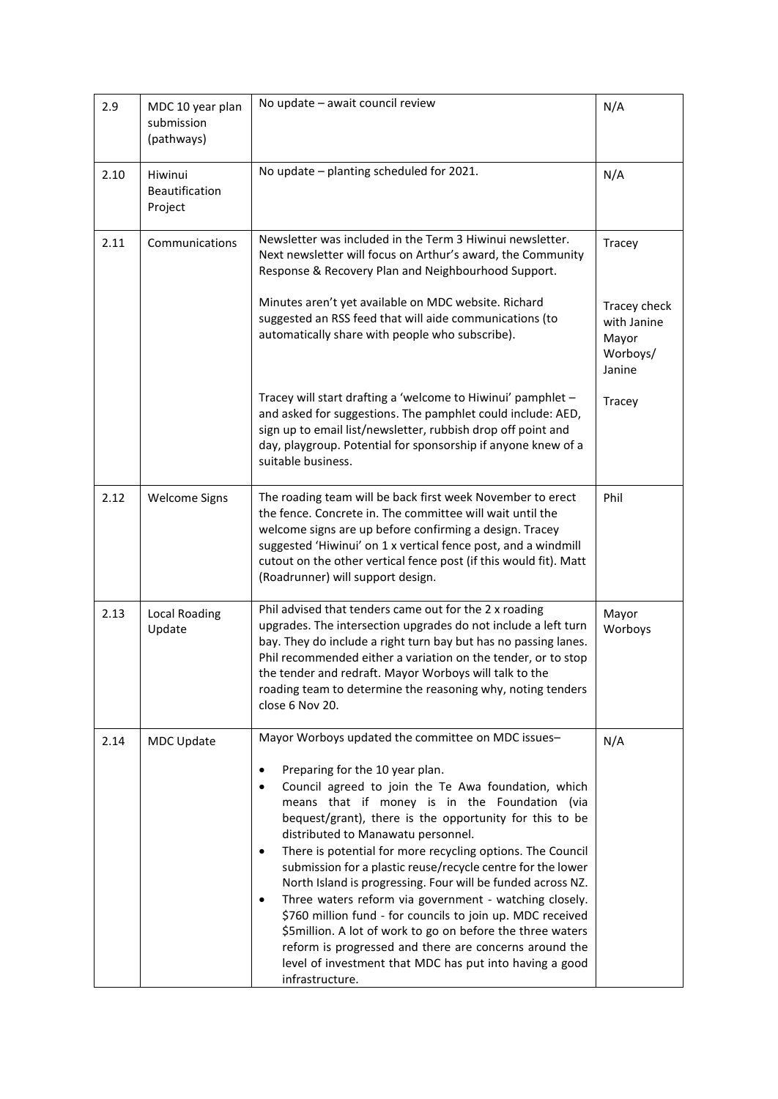| 2.9  | MDC 10 year plan<br>submission<br>(pathways) | No update - await council review                                                                                                                                                                                                                                                                                                                                                                                                                                                                                                                                                                                                                                                                                                                                                                                                                             | N/A                                                        |
|------|----------------------------------------------|--------------------------------------------------------------------------------------------------------------------------------------------------------------------------------------------------------------------------------------------------------------------------------------------------------------------------------------------------------------------------------------------------------------------------------------------------------------------------------------------------------------------------------------------------------------------------------------------------------------------------------------------------------------------------------------------------------------------------------------------------------------------------------------------------------------------------------------------------------------|------------------------------------------------------------|
| 2.10 | Hiwinui<br>Beautification<br>Project         | No update - planting scheduled for 2021.                                                                                                                                                                                                                                                                                                                                                                                                                                                                                                                                                                                                                                                                                                                                                                                                                     | N/A                                                        |
| 2.11 | Communications                               | Newsletter was included in the Term 3 Hiwinui newsletter.<br>Next newsletter will focus on Arthur's award, the Community<br>Response & Recovery Plan and Neighbourhood Support.                                                                                                                                                                                                                                                                                                                                                                                                                                                                                                                                                                                                                                                                              | Tracey                                                     |
|      |                                              | Minutes aren't yet available on MDC website. Richard<br>suggested an RSS feed that will aide communications (to<br>automatically share with people who subscribe).                                                                                                                                                                                                                                                                                                                                                                                                                                                                                                                                                                                                                                                                                           | Tracey check<br>with Janine<br>Mayor<br>Worboys/<br>Janine |
|      |                                              | Tracey will start drafting a 'welcome to Hiwinui' pamphlet -<br>and asked for suggestions. The pamphlet could include: AED,<br>sign up to email list/newsletter, rubbish drop off point and<br>day, playgroup. Potential for sponsorship if anyone knew of a<br>suitable business.                                                                                                                                                                                                                                                                                                                                                                                                                                                                                                                                                                           | Tracey                                                     |
| 2.12 | <b>Welcome Signs</b>                         | The roading team will be back first week November to erect<br>the fence. Concrete in. The committee will wait until the<br>welcome signs are up before confirming a design. Tracey<br>suggested 'Hiwinui' on 1 x vertical fence post, and a windmill<br>cutout on the other vertical fence post (if this would fit). Matt<br>(Roadrunner) will support design.                                                                                                                                                                                                                                                                                                                                                                                                                                                                                               | Phil                                                       |
| 2.13 | <b>Local Roading</b><br>Update               | Phil advised that tenders came out for the 2 x roading<br>upgrades. The intersection upgrades do not include a left turn<br>bay. They do include a right turn bay but has no passing lanes.<br>Phil recommended either a variation on the tender, or to stop<br>the tender and redraft. Mayor Worboys will talk to the<br>roading team to determine the reasoning why, noting tenders<br>close 6 Nov 20.                                                                                                                                                                                                                                                                                                                                                                                                                                                     | Mayor<br>Worboys                                           |
| 2.14 | MDC Update                                   | Mayor Worboys updated the committee on MDC issues-<br>Preparing for the 10 year plan.<br>$\bullet$<br>Council agreed to join the Te Awa foundation, which<br>$\bullet$<br>means that if money is in the Foundation (via<br>bequest/grant), there is the opportunity for this to be<br>distributed to Manawatu personnel.<br>There is potential for more recycling options. The Council<br>٠<br>submission for a plastic reuse/recycle centre for the lower<br>North Island is progressing. Four will be funded across NZ.<br>Three waters reform via government - watching closely.<br>٠<br>\$760 million fund - for councils to join up. MDC received<br>\$5million. A lot of work to go on before the three waters<br>reform is progressed and there are concerns around the<br>level of investment that MDC has put into having a good<br>infrastructure. | N/A                                                        |